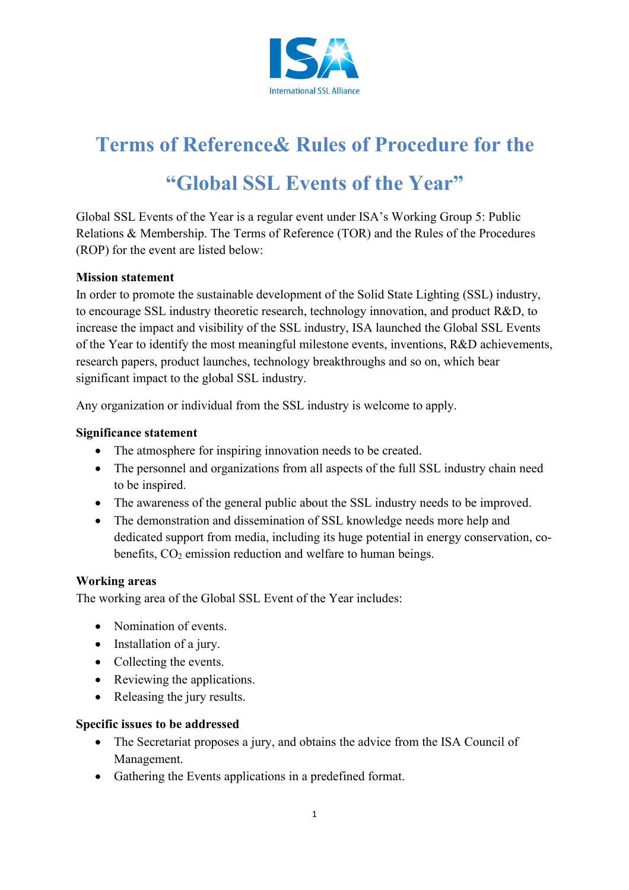

# **Terms of Reference& Rules of Procedure for the**

# **"Global SSL Events of the Year"**

Global SSL Events of the Year is a regular event under ISA's Working Group 5: Public Relations & Membership. The Terms of Reference (TOR) and the Rules of the Procedures (ROP) for the event are listed below:

# **Mission statement**

In order to promote the sustainable development of the Solid State Lighting (SSL) industry, to encourage SSL industry theoretic research, technology innovation, and product R&D, to increase the impact and visibility of the SSL industry, ISA launched the Global SSL Events of the Year to identify the most meaningful milestone events, inventions, R&D achievements, research papers, product launches, technology breakthroughs and so on, which bear significant impact to the global SSL industry.

Any organization or individual from the SSL industry is welcome to apply.

# **Significance statement**

- The atmosphere for inspiring innovation needs to be created.
- The personnel and organizations from all aspects of the full SSL industry chain need to be inspired.
- The awareness of the general public about the SSL industry needs to be improved.
- The demonstration and dissemination of SSL knowledge needs more help and dedicated support from media, including its huge potential in energy conservation, cobenefits,  $CO<sub>2</sub>$  emission reduction and welfare to human beings.

# **Working areas**

The working area of the Global SSL Event of the Year includes:

- Nomination of events.
- Installation of a jury.
- Collecting the events.
- Reviewing the applications.
- Releasing the jury results.

# **Specific issues to be addressed**

- The Secretariat proposes a jury, and obtains the advice from the ISA Council of Management.
- Gathering the Events applications in a predefined format.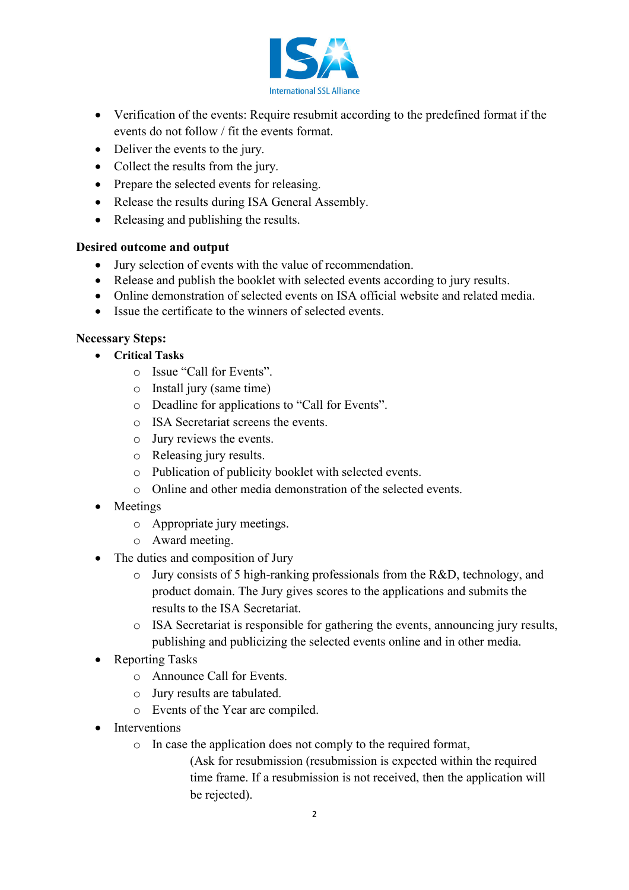

- Verification of the events: Require resubmit according to the predefined format if the events do not follow / fit the events format.
- Deliver the events to the jury.
- Collect the results from the jury.
- Prepare the selected events for releasing.
- Release the results during ISA General Assembly.
- Releasing and publishing the results.

#### **Desired outcome and output**

- Jury selection of events with the value of recommendation.
- Release and publish the booklet with selected events according to jury results.
- Online demonstration of selected events on ISA official website and related media.
- Issue the certificate to the winners of selected events.

#### **Necessary Steps:**

- **Critical Tasks**
	- o Issue "Call for Events".
	- o Install jury (same time)
	- o Deadline for applications to "Call for Events".
	- o ISA Secretariat screens the events.
	- o Jury reviews the events.
	- o Releasing jury results.
	- o Publication of publicity booklet with selected events.
	- o Online and other media demonstration of the selected events.
- Meetings
	- o Appropriate jury meetings.
	- o Award meeting.
- The duties and composition of Jury
	- o Jury consists of 5 high-ranking professionals from the R&D, technology, and product domain. The Jury gives scores to the applications and submits the results to the ISA Secretariat.
	- o ISA Secretariat is responsible for gathering the events, announcing jury results, publishing and publicizing the selected events online and in other media.
- Reporting Tasks
	- o Announce Call for Events.
	- o Jury results are tabulated.
	- o Events of the Year are compiled.
- Interventions
	- o In case the application does not comply to the required format,
		- (Ask for resubmission (resubmission is expected within the required time frame. If a resubmission is not received, then the application will be rejected).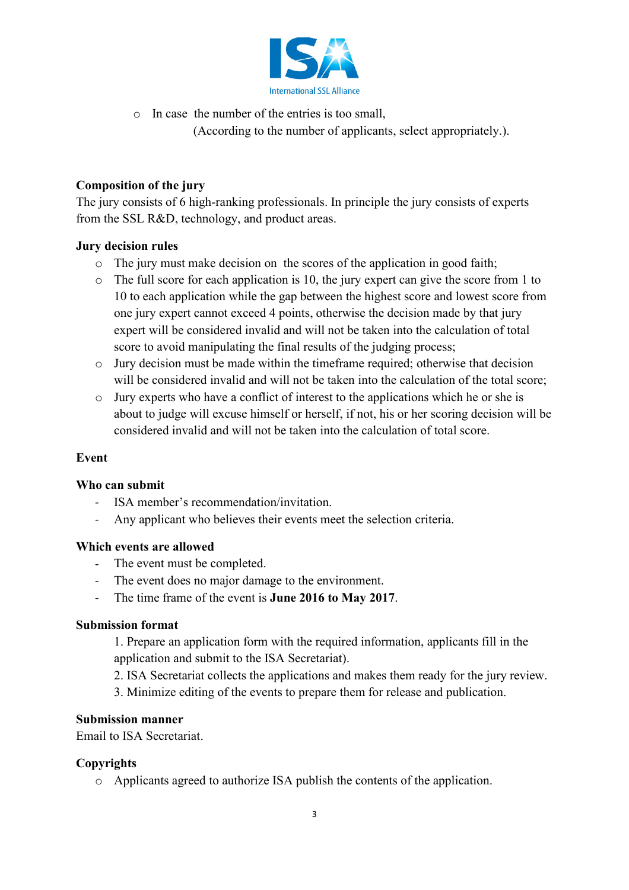

o In case the number of the entries is too small, (According to the number of applicants, select appropriately.).

# **Composition of the jury**

The jury consists of 6 high-ranking professionals. In principle the jury consists of experts from the SSL R&D, technology, and product areas.

#### **Jury decision rules**

- o The jury must make decision on the scores of the application in good faith;
- o The full score for each application is 10, the jury expert can give the score from 1 to 10 to each application while the gap between the highest score and lowest score from one jury expert cannot exceed 4 points, otherwise the decision made by that jury expert will be considered invalid and will not be taken into the calculation of total score to avoid manipulating the final results of the judging process;
- o Jury decision must be made within the timeframe required; otherwise that decision will be considered invalid and will not be taken into the calculation of the total score;
- o Jury experts who have a conflict of interest to the applications which he or she is about to judge will excuse himself or herself, if not, his or her scoring decision will be considered invalid and will not be taken into the calculation of total score.

# **Event**

# **Who can submit**

- ISA member's recommendation/invitation.
- Any applicant who believes their events meet the selection criteria.

#### **Which events are allowed**

- The event must be completed.
- The event does no major damage to the environment.
- The time frame of the event is **June 2016 to May 2017**.

#### **Submission format**

- 1. Prepare an application form with the required information, applicants fill in the application and submit to the ISA Secretariat).
- 2. ISA Secretariat collects the applications and makes them ready for the jury review.
- 3. Minimize editing of the events to prepare them for release and publication.

#### **Submission manner**

Email to ISA Secretariat.

#### **Copyrights**

o Applicants agreed to authorize ISA publish the contents of the application.